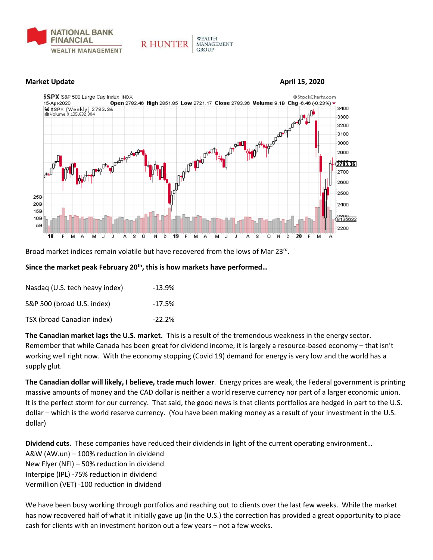



**WEALTH** 

**GROUP** 

MANAGEMENT

**R HUNTER** 

Broad market indices remain volatile but have recovered from the lows of Mar 23rd.

## **Since the market peak February 20th, this is how markets have performed…**

| Nasdag (U.S. tech heavy index) | $-13.9%$  |
|--------------------------------|-----------|
| S&P 500 (broad U.S. index)     | $-17.5%$  |
| TSX (broad Canadian index)     | $-22.2\%$ |

**The Canadian market lags the U.S. market.** This is a result of the tremendous weakness in the energy sector. Remember that while Canada has been great for dividend income, it is largely a resource-based economy – that isn't working well right now. With the economy stopping (Covid 19) demand for energy is very low and the world has a supply glut.

**The Canadian dollar will likely, I believe, trade much lower**. Energy prices are weak, the Federal government is printing massive amounts of money and the CAD dollar is neither a world reserve currency nor part of a larger economic union. It is the perfect storm for our currency. That said, the good news is that clients portfolios are hedged in part to the U.S. dollar – which is the world reserve currency. (You have been making money as a result of your investment in the U.S. dollar)

**Dividend cuts.** These companies have reduced their dividends in light of the current operating environment… A&W (AW.un) – 100% reduction in dividend New Flyer (NFI) – 50% reduction in dividend Interpipe (IPL) -75% reduction in dividend Vermillion (VET) -100 reduction in dividend

We have been busy working through portfolios and reaching out to clients over the last few weeks. While the market has now recovered half of what it initially gave up (in the U.S.) the correction has provided a great opportunity to place cash for clients with an investment horizon out a few years – not a few weeks.